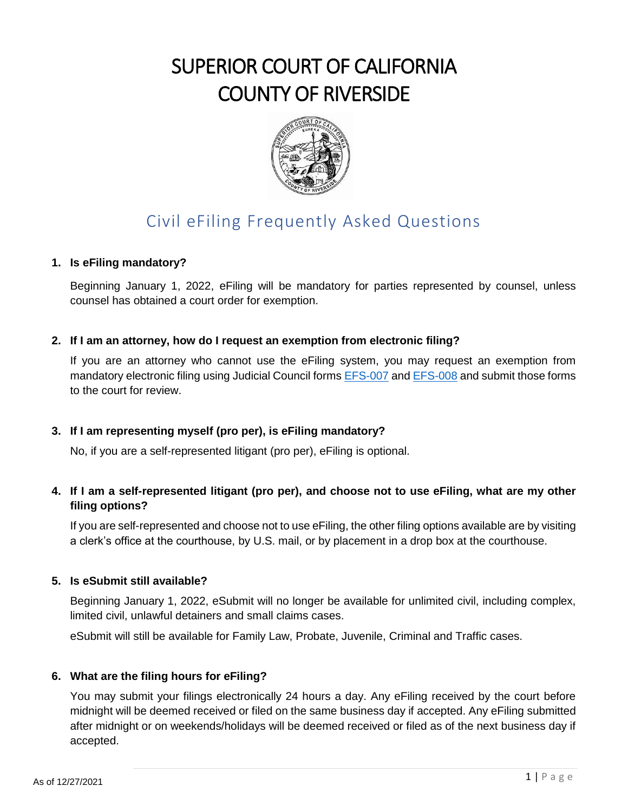# SUPERIOR COURT OF CALIFORNIA COUNTY OF RIVERSIDE



# Civil eFiling Frequently Asked Questions

## **1. Is eFiling mandatory?**

Beginning January 1, 2022, eFiling will be mandatory for parties represented by counsel, unless counsel has obtained a court order for exemption.

## **2. If I am an attorney, how do I request an exemption from electronic filing?**

If you are an attorney who cannot use the eFiling system, you may request an exemption from mandatory electronic filing using Judicial Council form[s EFS-007](https://www.courts.ca.gov/documents/efs007.pdf) an[d EFS-008](https://www.courts.ca.gov/documents/efs008.pdf) and submit those forms to the court for review.

# **3. If I am representing myself (pro per), is eFiling mandatory?**

No, if you are a self-represented litigant (pro per), eFiling is optional.

# **4. If I am a self-represented litigant (pro per), and choose not to use eFiling, what are my other filing options?**

If you are self-represented and choose not to use eFiling, the other filing options available are by visiting a clerk's office at the courthouse, by U.S. mail, or by placement in a drop box at the courthouse.

#### **5. Is eSubmit still available?**

Beginning January 1, 2022, eSubmit will no longer be available for unlimited civil, including complex, limited civil, unlawful detainers and small claims cases.

eSubmit will still be available for Family Law, Probate, Juvenile, Criminal and Traffic cases.

#### **6. What are the filing hours for eFiling?**

You may submit your filings electronically 24 hours a day. Any eFiling received by the court before midnight will be deemed received or filed on the same business day if accepted. Any eFiling submitted after midnight or on weekends/holidays will be deemed received or filed as of the next business day if accepted.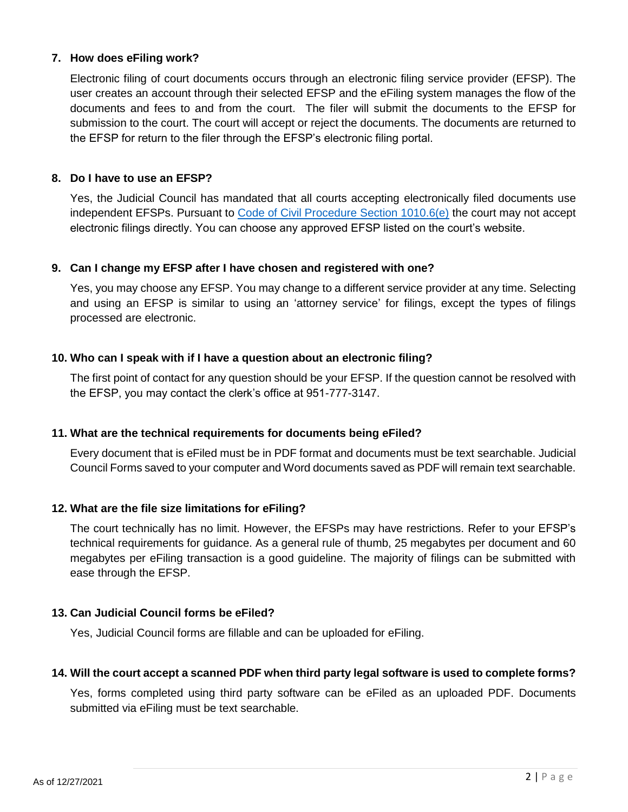#### **7. How does eFiling work?**

Electronic filing of court documents occurs through an electronic filing service provider (EFSP). The user creates an account through their selected EFSP and the eFiling system manages the flow of the documents and fees to and from the court. The filer will submit the documents to the EFSP for submission to the court. The court will accept or reject the documents. The documents are returned to the EFSP for return to the filer through the EFSP's electronic filing portal.

#### **8. Do I have to use an EFSP?**

Yes, the Judicial Council has mandated that all courts accepting electronically filed documents use independent EFSPs. Pursuant to [Code of Civil Procedure Section 1010.6\(e\)](https://leginfo.legislature.ca.gov/faces/codes_displaySection.xhtml?sectionNum=1010.6.&lawCode=CCP) the court may not accept electronic filings directly. You can choose any approved EFSP listed on the court's website.

#### **9. Can I change my EFSP after I have chosen and registered with one?**

Yes, you may choose any EFSP. You may change to a different service provider at any time. Selecting and using an EFSP is similar to using an 'attorney service' for filings, except the types of filings processed are electronic.

#### **10. Who can I speak with if I have a question about an electronic filing?**

The first point of contact for any question should be your EFSP. If the question cannot be resolved with the EFSP, you may contact the clerk's office at 951-777-3147.

#### **11. What are the technical requirements for documents being eFiled?**

Every document that is eFiled must be in PDF format and documents must be text searchable. Judicial Council Forms saved to your computer and Word documents saved as PDF will remain text searchable.

#### **12. What are the file size limitations for eFiling?**

The court technically has no limit. However, the EFSPs may have restrictions. Refer to your EFSP's technical requirements for guidance. As a general rule of thumb, 25 megabytes per document and 60 megabytes per eFiling transaction is a good guideline. The majority of filings can be submitted with ease through the EFSP.

#### **13. Can Judicial Council forms be eFiled?**

Yes, Judicial Council forms are fillable and can be uploaded for eFiling.

#### **14. Will the court accept a scanned PDF when third party legal software is used to complete forms?**

Yes, forms completed using third party software can be eFiled as an uploaded PDF. Documents submitted via eFiling must be text searchable.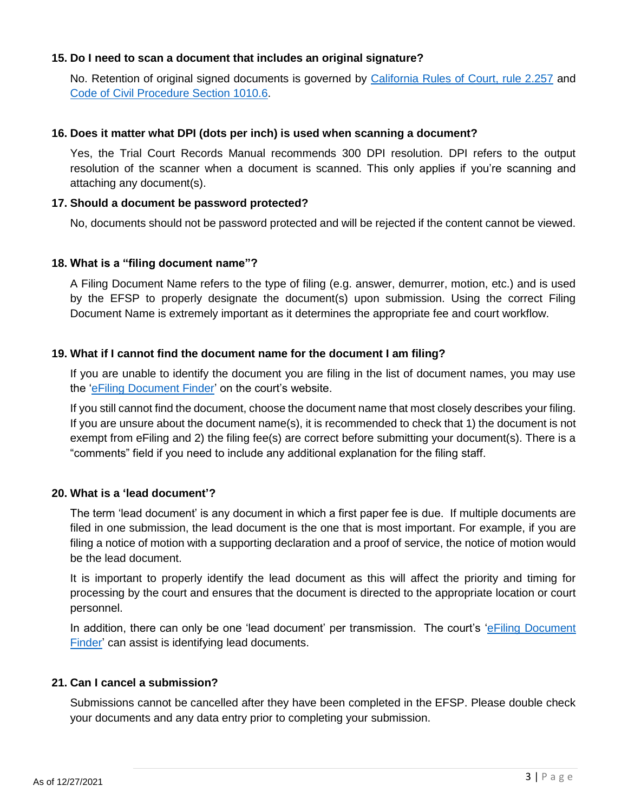#### **15. Do I need to scan a document that includes an original signature?**

No. Retention of original signed documents is governed by [California Rules of Court, rule 2.257](https://www.courts.ca.gov/cms/rules/index.cfm?title=two&linkid=rule2_257) and [Code of Civil Procedure Section 1010.6.](https://leginfo.legislature.ca.gov/faces/codes_displaySection.xhtml?sectionNum=1010.6.&lawCode=CCP)

#### **16. Does it matter what DPI (dots per inch) is used when scanning a document?**

Yes, the Trial Court Records Manual recommends 300 DPI resolution. DPI refers to the output resolution of the scanner when a document is scanned. This only applies if you're scanning and attaching any document(s).

#### **17. Should a document be password protected?**

No, documents should not be password protected and will be rejected if the content cannot be viewed.

#### **18. What is a "filing document name"?**

A Filing Document Name refers to the type of filing (e.g. answer, demurrer, motion, etc.) and is used by the EFSP to properly designate the document(s) upon submission. Using the correct Filing Document Name is extremely important as it determines the appropriate fee and court workflow.

#### **19. What if I cannot find the document name for the document I am filing?**

If you are unable to identify the document you are filing in the list of document names, you may use the ['eFiling Document Finder'](https://www.riverside.courts.ca.gov/FormsFiling/EFiling/efiling-finder.php) on the court's website.

If you still cannot find the document, choose the document name that most closely describes your filing. If you are unsure about the document name(s), it is recommended to check that 1) the document is not exempt from eFiling and 2) the filing fee(s) are correct before submitting your document(s). There is a "comments" field if you need to include any additional explanation for the filing staff.

#### **20. What is a 'lead document'?**

The term 'lead document' is any document in which a first paper fee is due. If multiple documents are filed in one submission, the lead document is the one that is most important. For example, if you are filing a notice of motion with a supporting declaration and a proof of service, the notice of motion would be the lead document.

It is important to properly identify the lead document as this will affect the priority and timing for processing by the court and ensures that the document is directed to the appropriate location or court personnel.

In addition, there can only be one 'lead document' per transmission. The court's 'eFiling Document [Finder'](https://www.riverside.courts.ca.gov/FormsFiling/EFiling/efiling-finder.php) can assist is identifying lead documents.

#### **21. Can I cancel a submission?**

Submissions cannot be cancelled after they have been completed in the EFSP. Please double check your documents and any data entry prior to completing your submission.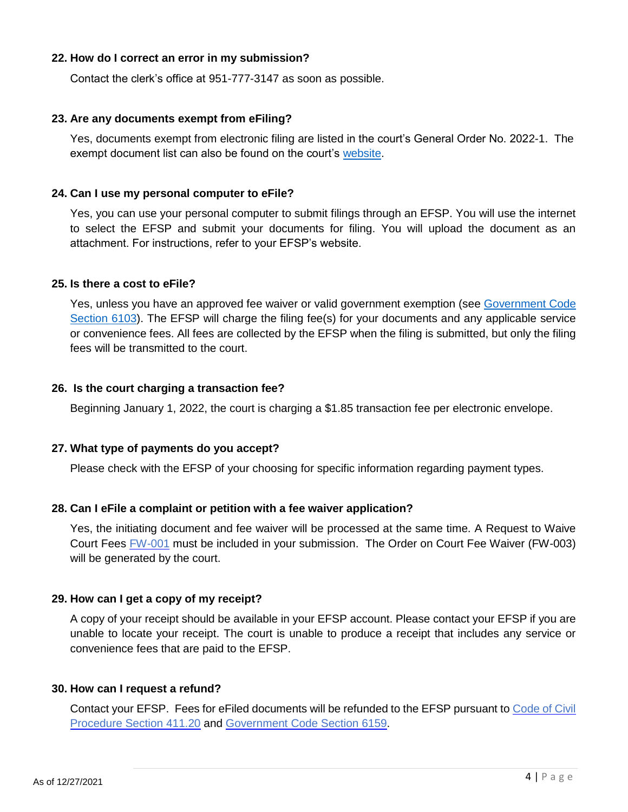#### **22. How do I correct an error in my submission?**

Contact the clerk's office at 951-777-3147 as soon as possible.

#### **23. Are any documents exempt from eFiling?**

Yes, documents exempt from electronic filing are listed in the court's General Order No. 2022-1. The exempt document list can also be found on the court's [website.](http://www.riverside.courts.ca.gov/FormsFiling/EFiling/civil-efiling.php)

#### **24. Can I use my personal computer to eFile?**

Yes, you can use your personal computer to submit filings through an EFSP. You will use the internet to select the EFSP and submit your documents for filing. You will upload the document as an attachment. For instructions, refer to your EFSP's website.

#### **25. Is there a cost to eFile?**

Yes, unless you have an approved fee waiver or valid government exemption (see [Government Code](https://leginfo.legislature.ca.gov/faces/codes_displaySection.xhtml?sectionNum=6103.&lawCode=GOV)  [Section 6103\)](https://leginfo.legislature.ca.gov/faces/codes_displaySection.xhtml?sectionNum=6103.&lawCode=GOV). The EFSP will charge the filing fee(s) for your documents and any applicable service or convenience fees. All fees are collected by the EFSP when the filing is submitted, but only the filing fees will be transmitted to the court.

#### **26. Is the court charging a transaction fee?**

Beginning January 1, 2022, the court is charging a \$1.85 transaction fee per electronic envelope.

#### **27. What type of payments do you accept?**

Please check with the EFSP of your choosing for specific information regarding payment types.

#### **28. Can I eFile a complaint or petition with a fee waiver application?**

Yes, the initiating document and fee waiver will be processed at the same time. A Request to Waive Court Fees [FW-001](https://www.courts.ca.gov/documents/fw001.pdf) must be included in your submission. The Order on Court Fee Waiver (FW-003) will be generated by the court.

#### **29. How can I get a copy of my receipt?**

A copy of your receipt should be available in your EFSP account. Please contact your EFSP if you are unable to locate your receipt. The court is unable to produce a receipt that includes any service or convenience fees that are paid to the EFSP.

#### **30. How can I request a refund?**

Contact your EFSP. Fees for eFiled documents will be refunded to the EFSP pursuant to [Code of Civil](http://leginfo.legislature.ca.gov/faces/codes_displaySection.xhtml?sectionNum=411.20.&lawCode=CCP) [Procedure Section 411.20](http://leginfo.legislature.ca.gov/faces/codes_displaySection.xhtml?sectionNum=411.20.&lawCode=CCP) and [Government Code Section 6159.](http://leginfo.legislature.ca.gov/faces/codes_displaySection.xhtml?sectionNum=6159.&lawCode=GOV)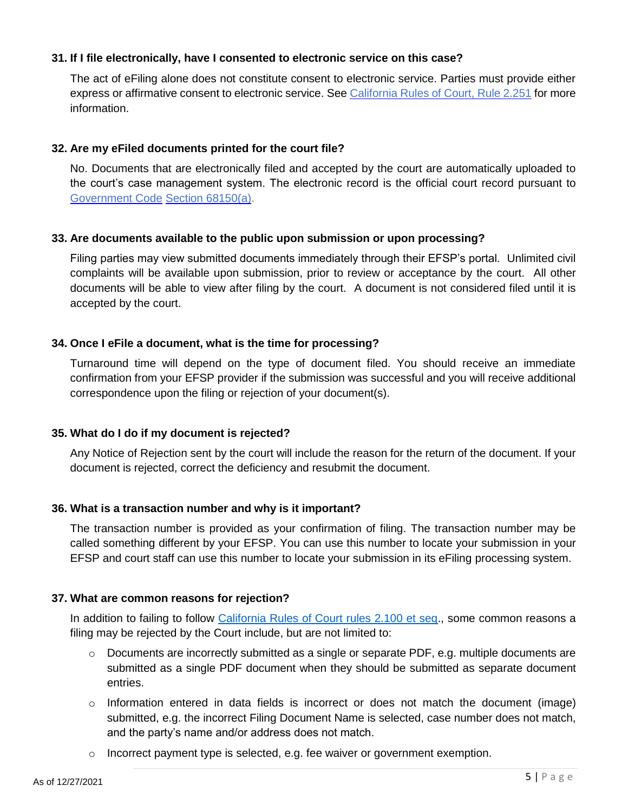#### **31. If I file electronically, have I consented to electronic service on this case?**

The act of eFiling alone does not constitute consent to electronic service. Parties must provide either express or affirmative consent to electronic service. See [California Rules of Court, Rule 2.251](https://www.courts.ca.gov/cms/rules/index.cfm?title=two&linkid=rule2_251) for more information.

#### **32. Are my eFiled documents printed for the court file?**

No. Documents that are electronically filed and accepted by the court are automatically uploaded to the court's case management system. The electronic record is the official court record pursuant to [Government Code](http://leginfo.legislature.ca.gov/faces/codes_displaySection.xhtml?sectionNum=68150.&lawCode=GOV) [Section 68150\(a\).](http://leginfo.legislature.ca.gov/faces/codes_displaySection.xhtml?sectionNum=68150.&lawCode=GOV)

#### **33. Are documents available to the public upon submission or upon processing?**

Filing parties may view submitted documents immediately through their EFSP's portal. Unlimited civil complaints will be available upon submission, prior to review or acceptance by the court. All other documents will be able to view after filing by the court. A document is not considered filed until it is accepted by the court.

#### **34. Once I eFile a document, what is the time for processing?**

Turnaround time will depend on the type of document filed. You should receive an immediate confirmation from your EFSP provider if the submission was successful and you will receive additional correspondence upon the filing or rejection of your document(s).

#### **35. What do I do if my document is rejected?**

Any Notice of Rejection sent by the court will include the reason for the return of the document. If your document is rejected, correct the deficiency and resubmit the document.

#### **36. What is a transaction number and why is it important?**

The transaction number is provided as your confirmation of filing. The transaction number may be called something different by your EFSP. You can use this number to locate your submission in your EFSP and court staff can use this number to locate your submission in its eFiling processing system.

#### **37. What are common reasons for rejection?**

In addition to failing to follow [California Rules of Court rules 2.100 et seq.](https://www.courts.ca.gov/cms/rules/index.cfm?title=two&linkid=rule2_100), some common reasons a filing may be rejected by the Court include, but are not limited to:

- o Documents are incorrectly submitted as a single or separate PDF, e.g. multiple documents are submitted as a single PDF document when they should be submitted as separate document entries.
- $\circ$  Information entered in data fields is incorrect or does not match the document (image) submitted, e.g. the incorrect Filing Document Name is selected, case number does not match, and the party's name and/or address does not match.
- $\circ$  Incorrect payment type is selected, e.g. fee waiver or government exemption.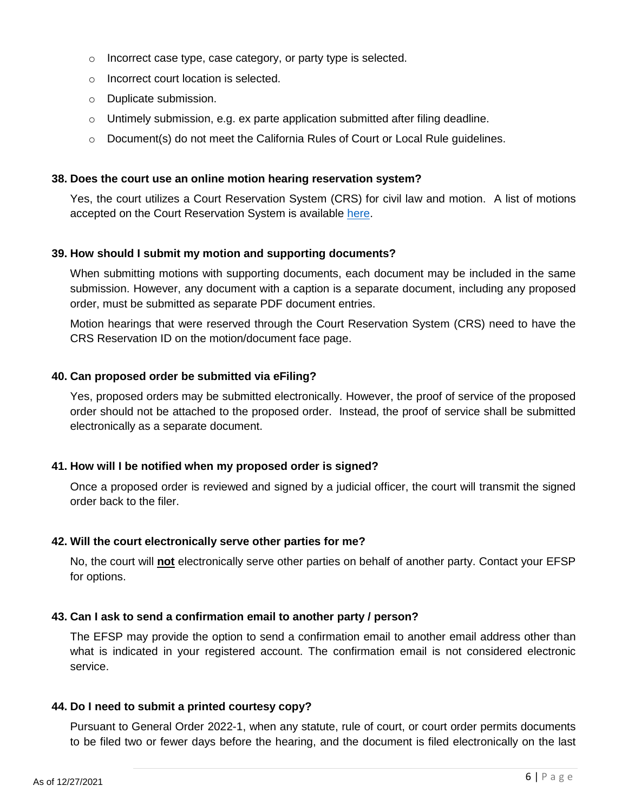- o Incorrect case type, case category, or party type is selected.
- o Incorrect court location is selected.
- o Duplicate submission.
- o Untimely submission, e.g. ex parte application submitted after filing deadline.
- $\circ$  Document(s) do not meet the California Rules of Court or Local Rule quidelines.

#### **38. Does the court use an online motion hearing reservation system?**

Yes, the court utilizes a Court Reservation System (CRS) for civil law and motion. A list of motions accepted on the Court Reservation System is available [here.](https://www.riverside.courts.ca.gov/OnlineServices/CourtReservation/court-reservation-system.php)

#### **39. How should I submit my motion and supporting documents?**

When submitting motions with supporting documents, each document may be included in the same submission. However, any document with a caption is a separate document, including any proposed order, must be submitted as separate PDF document entries.

Motion hearings that were reserved through the Court Reservation System (CRS) need to have the CRS Reservation ID on the motion/document face page.

#### **40. Can proposed order be submitted via eFiling?**

Yes, proposed orders may be submitted electronically. However, the proof of service of the proposed order should not be attached to the proposed order. Instead, the proof of service shall be submitted electronically as a separate document.

#### **41. How will I be notified when my proposed order is signed?**

Once a proposed order is reviewed and signed by a judicial officer, the court will transmit the signed order back to the filer.

#### **42. Will the court electronically serve other parties for me?**

No, the court will **not** electronically serve other parties on behalf of another party. Contact your EFSP for options.

#### **43. Can I ask to send a confirmation email to another party / person?**

The EFSP may provide the option to send a confirmation email to another email address other than what is indicated in your registered account. The confirmation email is not considered electronic service.

#### **44. Do I need to submit a printed courtesy copy?**

Pursuant to General Order 2022-1, when any statute, rule of court, or court order permits documents to be filed two or fewer days before the hearing, and the document is filed electronically on the last